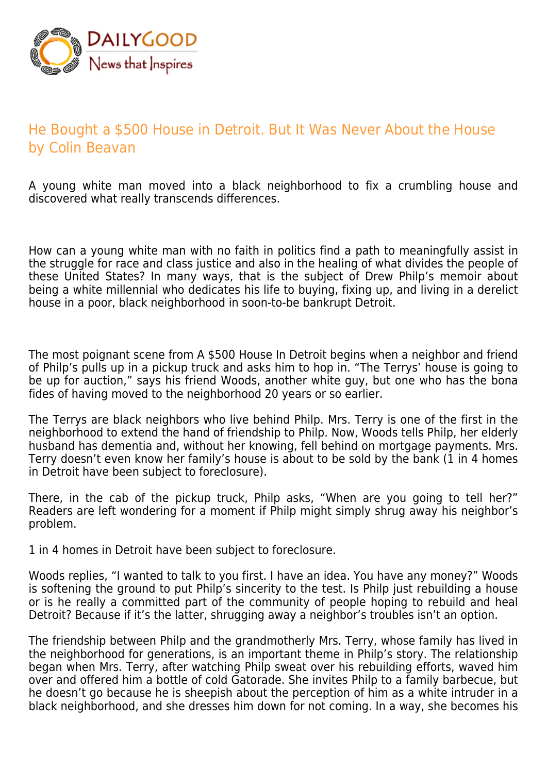

## He Bought a \$500 House in Detroit. But It Was Never About the House by Colin Beavan

A young white man moved into a black neighborhood to fix a crumbling house and discovered what really transcends differences.

How can a young white man with no faith in politics find a path to meaningfully assist in the struggle for race and class justice and also in the healing of what divides the people of these United States? In many ways, that is the subject of Drew Philp's memoir about being a white millennial who dedicates his life to buying, fixing up, and living in a derelict house in a poor, black neighborhood in soon-to-be bankrupt Detroit.

The most poignant scene from A \$500 House In Detroit begins when a neighbor and friend of Philp's pulls up in a pickup truck and asks him to hop in. "The Terrys' house is going to be up for auction," says his friend Woods, another white guy, but one who has the bona fides of having moved to the neighborhood 20 years or so earlier.

The Terrys are black neighbors who live behind Philp. Mrs. Terry is one of the first in the neighborhood to extend the hand of friendship to Philp. Now, Woods tells Philp, her elderly husband has dementia and, without her knowing, fell behind on mortgage payments. Mrs. Terry doesn't even know her family's house is about to be sold by the bank (1 in 4 homes in Detroit have been subject to foreclosure).

There, in the cab of the pickup truck, Philp asks, "When are you going to tell her?" Readers are left wondering for a moment if Philp might simply shrug away his neighbor's problem.

1 in 4 homes in Detroit have been subject to foreclosure.

Woods replies, "I wanted to talk to you first. I have an idea. You have any money?" Woods is softening the ground to put Philp's sincerity to the test. Is Philp just rebuilding a house or is he really a committed part of the community of people hoping to rebuild and heal Detroit? Because if it's the latter, shrugging away a neighbor's troubles isn't an option.

The friendship between Philp and the grandmotherly Mrs. Terry, whose family has lived in the neighborhood for generations, is an important theme in Philp's story. The relationship began when Mrs. Terry, after watching Philp sweat over his rebuilding efforts, waved him over and offered him a bottle of cold Gatorade. She invites Philp to a family barbecue, but he doesn't go because he is sheepish about the perception of him as a white intruder in a black neighborhood, and she dresses him down for not coming. In a way, she becomes his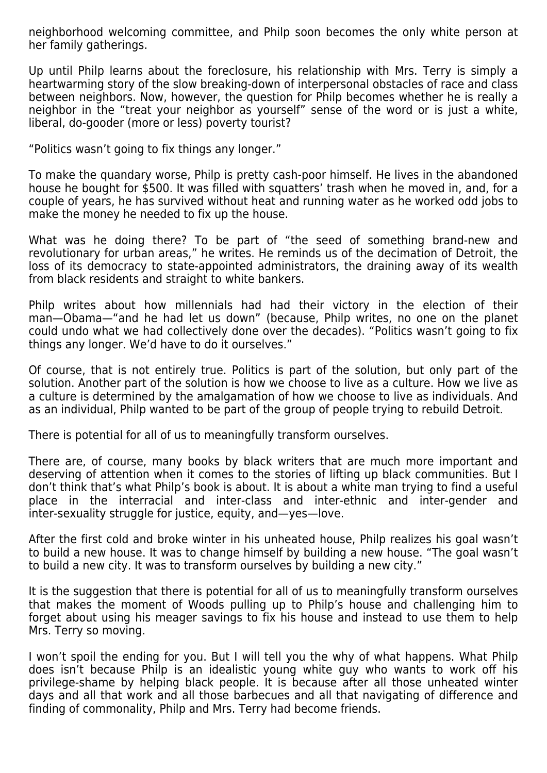neighborhood welcoming committee, and Philp soon becomes the only white person at her family gatherings.

Up until Philp learns about the foreclosure, his relationship with Mrs. Terry is simply a heartwarming story of the slow breaking-down of interpersonal obstacles of race and class between neighbors. Now, however, the question for Philp becomes whether he is really a neighbor in the "treat your neighbor as yourself" sense of the word or is just a white, liberal, do-gooder (more or less) poverty tourist?

"Politics wasn't going to fix things any longer."

To make the quandary worse, Philp is pretty cash-poor himself. He lives in the abandoned house he bought for \$500. It was filled with squatters' trash when he moved in, and, for a couple of years, he has survived without heat and running water as he worked odd jobs to make the money he needed to fix up the house.

What was he doing there? To be part of "the seed of something brand-new and revolutionary for urban areas," he writes. He reminds us of the decimation of Detroit, the loss of its democracy to state-appointed administrators, the draining away of its wealth from black residents and straight to white bankers.

Philp writes about how millennials had had their victory in the election of their man—Obama—"and he had let us down" (because, Philp writes, no one on the planet could undo what we had collectively done over the decades). "Politics wasn't going to fix things any longer. We'd have to do it ourselves."

Of course, that is not entirely true. Politics is part of the solution, but only part of the solution. Another part of the solution is how we choose to live as a culture. How we live as a culture is determined by the amalgamation of how we choose to live as individuals. And as an individual, Philp wanted to be part of the group of people trying to rebuild Detroit.

There is potential for all of us to meaningfully transform ourselves.

There are, of course, many books by black writers that are much more important and deserving of attention when it comes to the stories of lifting up black communities. But I don't think that's what Philp's book is about. It is about a white man trying to find a useful place in the interracial and inter-class and inter-ethnic and inter-gender and inter-sexuality struggle for justice, equity, and—yes—love.

After the first cold and broke winter in his unheated house, Philp realizes his goal wasn't to build a new house. It was to change himself by building a new house. "The goal wasn't to build a new city. It was to transform ourselves by building a new city."

It is the suggestion that there is potential for all of us to meaningfully transform ourselves that makes the moment of Woods pulling up to Philp's house and challenging him to forget about using his meager savings to fix his house and instead to use them to help Mrs. Terry so moving.

I won't spoil the ending for you. But I will tell you the why of what happens. What Philp does isn't because Philp is an idealistic young white guy who wants to work off his privilege-shame by helping black people. It is because after all those unheated winter days and all that work and all those barbecues and all that navigating of difference and finding of commonality, Philp and Mrs. Terry had become friends.